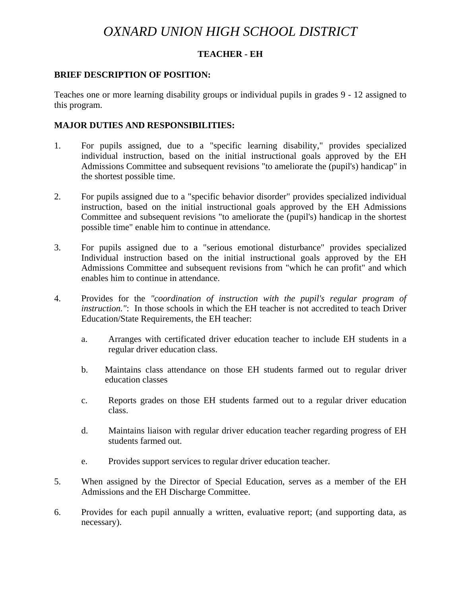# *OXNARD UNION HIGH SCHOOL DISTRICT*

### **TEACHER - EH**

#### **BRIEF DESCRIPTION OF POSITION:**

Teaches one or more learning disability groups or individual pupils in grades 9 - 12 assigned to this program.

#### **MAJOR DUTIES AND RESPONSIBILITIES:**

- 1. For pupils assigned, due to a "specific learning disability," provides specialized individual instruction, based on the initial instructional goals approved by the EH Admissions Committee and subsequent revisions "to ameliorate the (pupil's) handicap" in the shortest possible time.
- 2. For pupils assigned due to a "specific behavior disorder" provides specialized individual instruction, based on the initial instructional goals approved by the EH Admissions Committee and subsequent revisions "to ameliorate the (pupil's) handicap in the shortest possible time" enable him to continue in attendance.
- 3. For pupils assigned due to a "serious emotional disturbance" provides specialized Individual instruction based on the initial instructional goals approved by the EH Admissions Committee and subsequent revisions from "which he can profit" and which enables him to continue in attendance.
- 4. Provides for the *"coordination of instruction with the pupil's regular program of instruction."*: In those schools in which the EH teacher is not accredited to teach Driver Education/State Requirements, the EH teacher:
	- a. Arranges with certificated driver education teacher to include EH students in a regular driver education class.
	- b. Maintains class attendance on those EH students farmed out to regular driver education classes
	- c. Reports grades on those EH students farmed out to a regular driver education class.
	- d. Maintains liaison with regular driver education teacher regarding progress of EH students farmed out.
	- e. Provides support services to regular driver education teacher.
- 5. When assigned by the Director of Special Education, serves as a member of the EH Admissions and the EH Discharge Committee.
- 6. Provides for each pupil annually a written, evaluative report; (and supporting data, as necessary).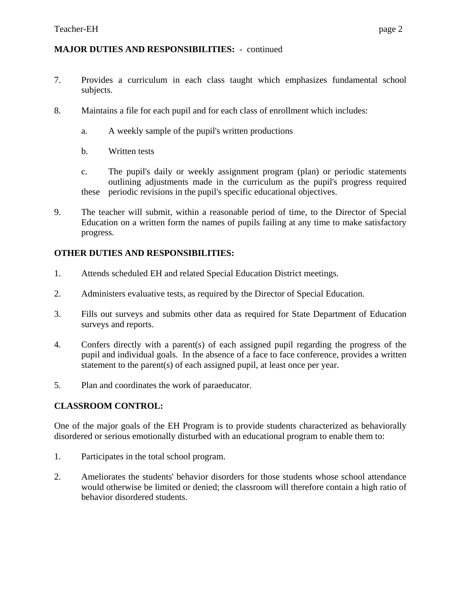## **MAJOR DUTIES AND RESPONSIBILITIES:** - continued

- 7. Provides a curriculum in each class taught which emphasizes fundamental school subjects.
- 8. Maintains a file for each pupil and for each class of enrollment which includes:
	- a. A weekly sample of the pupil's written productions
	- b. Written tests
	- c. The pupil's daily or weekly assignment program (plan) or periodic statements outlining adjustments made in the curriculum as the pupil's progress required these periodic revisions in the pupil's specific educational objectives.
- 9. The teacher will submit, within a reasonable period of time, to the Director of Special Education on a written form the names of pupils failing at any time to make satisfactory progress.

## **OTHER DUTIES AND RESPONSIBILITIES:**

- 1. Attends scheduled EH and related Special Education District meetings.
- 2. Administers evaluative tests, as required by the Director of Special Education.
- 3. Fills out surveys and submits other data as required for State Department of Education surveys and reports.
- 4. Confers directly with a parent(s) of each assigned pupil regarding the progress of the pupil and individual goals. In the absence of a face to face conference, provides a written statement to the parent(s) of each assigned pupil, at least once per year.
- 5. Plan and coordinates the work of paraeducator.

# **CLASSROOM CONTROL:**

One of the major goals of the EH Program is to provide students characterized as behaviorally disordered or serious emotionally disturbed with an educational program to enable them to:

- 1. Participates in the total school program.
- 2. Ameliorates the students' behavior disorders for those students whose school attendance would otherwise be limited or denied; the classroom will therefore contain a high ratio of behavior disordered students.